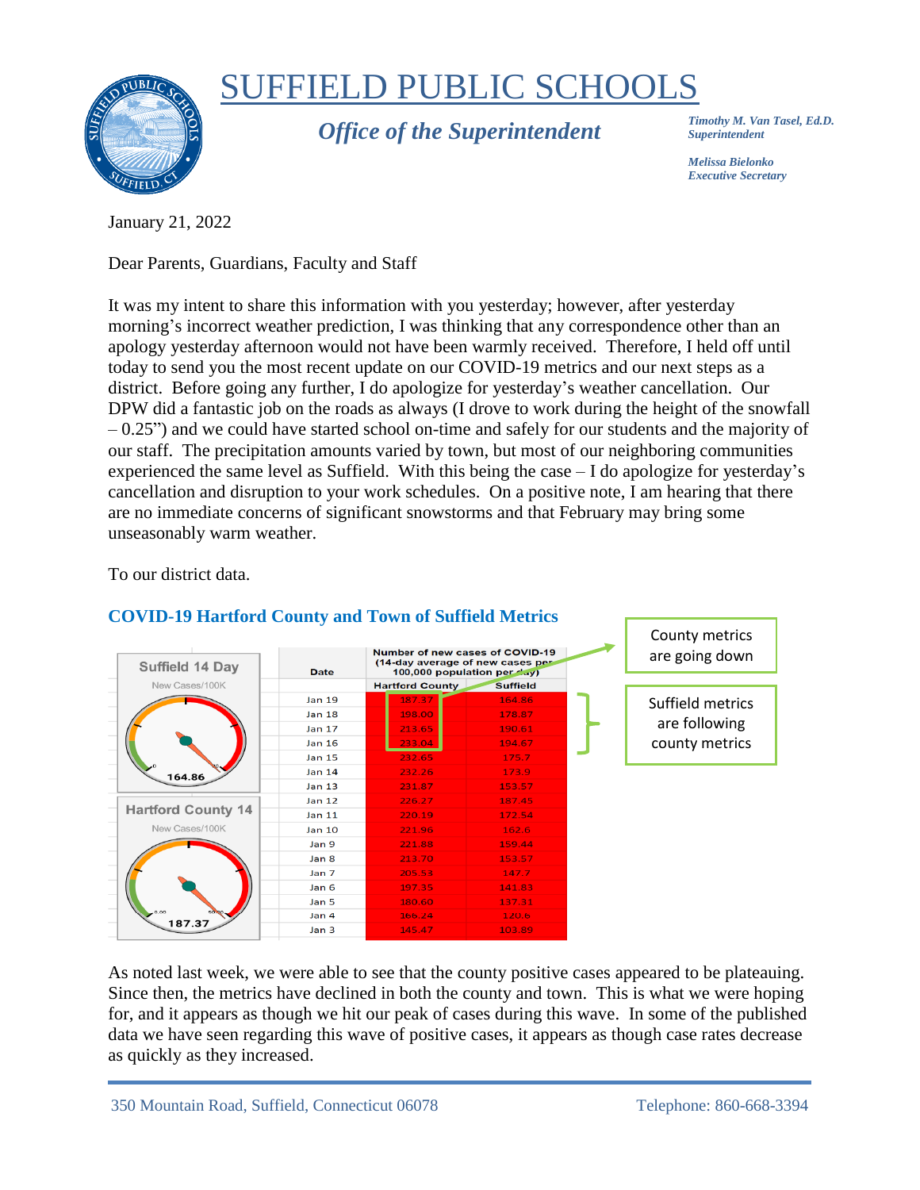

# SUFFIELD PUBLIC SCHOOLS

*Office of the Superintendent*

*Timothy M. Van Tasel, Ed.D. Superintendent*

*Melissa Bielonko Executive Secretary*

January 21, 2022

Dear Parents, Guardians, Faculty and Staff

It was my intent to share this information with you yesterday; however, after yesterday morning's incorrect weather prediction, I was thinking that any correspondence other than an apology yesterday afternoon would not have been warmly received. Therefore, I held off until today to send you the most recent update on our COVID-19 metrics and our next steps as a district. Before going any further, I do apologize for yesterday's weather cancellation. Our DPW did a fantastic job on the roads as always (I drove to work during the height of the snowfall  $-0.25$ ") and we could have started school on-time and safely for our students and the majority of our staff. The precipitation amounts varied by town, but most of our neighboring communities experienced the same level as Suffield. With this being the case – I do apologize for yesterday's cancellation and disruption to your work schedules. On a positive note, I am hearing that there are no immediate concerns of significant snowstorms and that February may bring some unseasonably warm weather.

To our district data.



## **COVID-19 Hartford County and Town of Suffield Metrics**

As noted last week, we were able to see that the county positive cases appeared to be plateauing. Since then, the metrics have declined in both the county and town. This is what we were hoping for, and it appears as though we hit our peak of cases during this wave. In some of the published data we have seen regarding this wave of positive cases, it appears as though case rates decrease as quickly as they increased.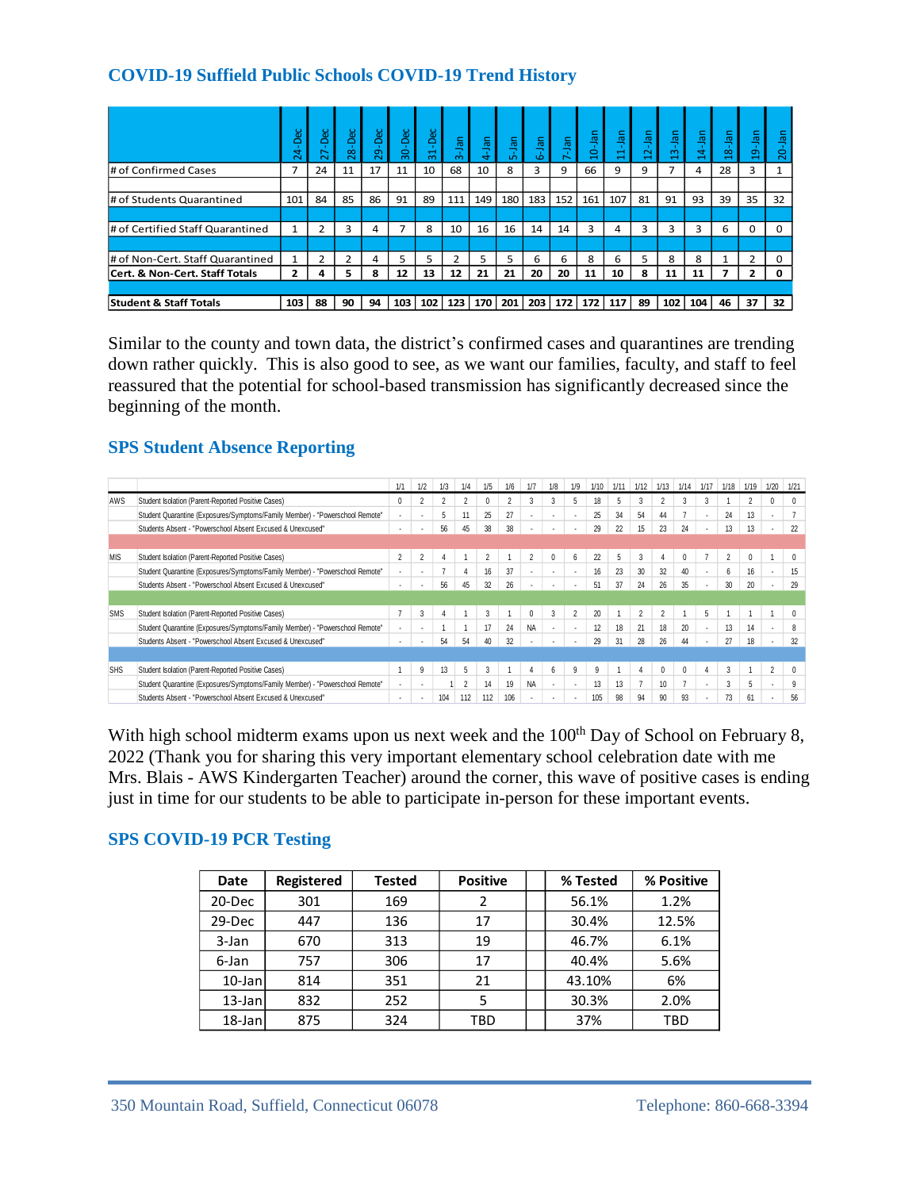#### **COVID-19 Suffield Public Schools COVID-19 Trend History**

|                                   | $\bar{a}$<br>ෑ<br>Ñ     | Dec<br>∼<br>$\sim$ | -Dec<br>28     | Dec<br>Ō<br>Ñ | 30-Dec         | -Dec<br>$\div$<br>$\infty$ | $3-$ Jan       | -Jan<br>÷   | 5-Jan | <b>GEL</b><br>Ö | lan | 휵<br>$\circ$ | εē<br>$\overline{\phantom{0}}$ | $\frac{5}{2}$<br>$\overline{\mathbf{C}}$ | -Jan<br>$\infty$<br>$\overline{\phantom{0}}$ | net-<br>$\vec{a}$<br>$\overline{\phantom{0}}$ | $8 - Jan$<br>⊣ | $9-$ Jan<br>a  | $\overline{a}$<br>–<br>$\overline{0}$ |
|-----------------------------------|-------------------------|--------------------|----------------|---------------|----------------|----------------------------|----------------|-------------|-------|-----------------|-----|--------------|--------------------------------|------------------------------------------|----------------------------------------------|-----------------------------------------------|----------------|----------------|---------------------------------------|
| # of Confirmed Cases              | 7                       | 24                 | 11             | 17            | 11             | 10                         | 68             | 10          | 8     | 3               | 9   | 66           | 9                              | 9                                        | 7                                            | 4                                             | 28             | 3              |                                       |
|                                   |                         |                    |                |               |                |                            |                |             |       |                 |     |              |                                |                                          |                                              |                                               |                |                |                                       |
| # of Students Quarantined         | 101                     | 84                 | 85             | 86            | 91             | 89                         | 111            | 149         | 180   | 183             | 152 | 161          | 107                            | 81                                       | 91                                           | 93                                            | 39             | 35             | 32                                    |
|                                   |                         |                    |                |               |                |                            |                |             |       |                 |     |              |                                |                                          |                                              |                                               |                |                |                                       |
| # of Certified Staff Quarantined  | 1                       |                    | 3              | 4             | $\overline{ }$ | 8                          | 10             | 16          | 16    | 14              | 14  | 3            | 4                              | 3                                        | 3                                            | 3                                             | 6              | $\Omega$       | n                                     |
|                                   |                         |                    |                |               |                |                            |                |             |       |                 |     |              |                                |                                          |                                              |                                               |                |                |                                       |
| # of Non-Cert. Staff Quarantined  | $\mathbf{1}$            | $\mathcal{P}$      | $\overline{2}$ | 4             | 5              | 5                          | $\overline{2}$ | 5           | 5     | 6               | 6   | 8            | 6                              | 5                                        | 8                                            | 8                                             |                | $\overline{2}$ | <sup>0</sup>                          |
| Cert. & Non-Cert. Staff Totals    | $\overline{\mathbf{z}}$ | 4                  | 5              | 8             | 12             | 13                         | 12             | 21          | 21    | 20              | 20  | 11           | 10                             | 8                                        | 11                                           | 11                                            |                | 2              | <sup>0</sup>                          |
|                                   |                         |                    |                |               |                |                            |                |             |       |                 |     |              |                                |                                          |                                              |                                               |                |                |                                       |
| <b>Student &amp; Staff Totals</b> | 103                     | 88                 | 90             | 94            | 103            | 102 <sub>1</sub>           |                | 123 170 201 |       | 203             | 172 | 172          | 117                            | 89                                       | 102                                          | 104                                           | 46             | 37             | 32                                    |

#### **SPS Student Absence Reporting**

|                                        |                                                                                                                                    | $24 - De$               |    | $28 - Dec$ | 29-Dec         | ခို<br>ဆွ      | ನ                     | ؋<br>3-Jan            | $4$ -Jan                                    | S-Jan                 | 6-Jan                    | 7-Jan                | $10 - Jan$ | $11$ -Jan          | <u>다</u>                         | $13$ -Jan              | $14 -$ Jar                       | $18 - Jan$              | 19-Jan                 | $20$ -Jan         |
|----------------------------------------|------------------------------------------------------------------------------------------------------------------------------------|-------------------------|----|------------|----------------|----------------|-----------------------|-----------------------|---------------------------------------------|-----------------------|--------------------------|----------------------|------------|--------------------|----------------------------------|------------------------|----------------------------------|-------------------------|------------------------|-------------------|
|                                        | # of Confirmed Cases                                                                                                               | 7                       | 24 | 11         | 17             | 11             | 10                    | 68                    | 10                                          | 8                     | 3                        | 9                    | 66         | 9                  | 9                                | $\overline{7}$         | 4                                | 28                      | 3                      | $\mathbf{1}$      |
|                                        |                                                                                                                                    |                         |    |            |                |                |                       |                       |                                             |                       |                          |                      |            |                    |                                  |                        |                                  |                         |                        |                   |
|                                        | # of Students Quarantined                                                                                                          | 101                     | 84 | 85         | 86             | 91             | 89                    | 111                   | 149                                         | 180                   | 183                      | 152                  | 161        | 107                | 81                               | 91                     | 93                               | 39                      | 35                     | 32                |
|                                        | # of Certified Staff Quarantined                                                                                                   | 1                       | 2  | 3          | 4              | 7              | 8                     | 10                    | 16                                          | 16                    | 14                       | 14                   | 3          | 4                  | 3                                | 3                      | 3                                | 6                       | 0                      | 0                 |
|                                        | # of Non-Cert. Staff Quarantined                                                                                                   | $\mathbf{1}$            | 2  | 2          | $\overline{a}$ | 5              | 5                     | $\overline{2}$        | 5                                           | 5                     | 6                        | 6                    | 8          | 6                  | 5                                | 8                      | 8                                | 1                       | $\overline{2}$         | $\Omega$          |
|                                        | Cert. & Non-Cert. Staff Totals                                                                                                     | $\overline{\mathbf{2}}$ | 4  | 5          | 8              | 12             | 13                    | 12                    | 21                                          | 21                    | 20                       | 20                   | 11         | 10                 | 8                                | 11                     | 11                               | $\overline{\mathbf{z}}$ | 2                      | 0                 |
|                                        |                                                                                                                                    |                         |    |            |                |                |                       |                       |                                             |                       |                          |                      |            |                    |                                  |                        |                                  |                         |                        |                   |
|                                        | <b>Student &amp; Staff Totals</b>                                                                                                  | 103                     | 88 | 90         | 94             | 103            | 102                   | 123                   | 170                                         | 201                   | 203                      | 172                  | 172        | 117                | 89                               | 102                    | 104                              | 46                      | 37                     | 32                |
|                                        | reassured that the potential for school-based transmission has significantly decreased since the                                   |                         |    |            |                |                |                       |                       |                                             |                       |                          |                      |            |                    |                                  |                        |                                  |                         |                        |                   |
|                                        | beginning of the month.                                                                                                            |                         |    |            |                |                |                       |                       |                                             |                       |                          |                      |            |                    |                                  |                        |                                  |                         |                        |                   |
|                                        | <b>SPS Student Absence Reporting</b>                                                                                               |                         |    |            |                |                |                       |                       |                                             |                       |                          |                      |            |                    |                                  |                        |                                  |                         |                        |                   |
|                                        | Student Isolation (Parent-Reported Positive Cases)                                                                                 |                         |    |            |                | 1/1<br>0       | 1/2<br>$\overline{2}$ | 1/3<br>$\overline{2}$ | 1/5<br>1/4<br>$\overline{2}$<br>$\mathbf 0$ | 1/6<br>$\overline{2}$ | 1/7<br>3                 | 1/8<br>1/9<br>3<br>5 | 1/10<br>18 | 1/11<br>5          | 1/12<br>3                        | 1/13<br>$\overline{2}$ | 1/14<br>1/17<br>3<br>3           | 1/18<br>$\mathbf{1}$    | 1/19<br>$\overline{2}$ | 1/20<br>1/21<br>0 |
|                                        | Student Quarantine (Exposures/Symptoms/Family Member) - "Powerschool Remote"                                                       |                         |    |            |                | ÷,             | ÷,                    | 5                     | 11<br>25                                    | 27                    | ÷,                       | ÷,<br>$\Delta$       | 25         | 34                 | 54                               | 44                     | $\overline{7}$<br>$\blacksquare$ | 24                      | 13                     | ÷,                |
|                                        | Students Absent - "Powerschool Absent Excused & Unexcused"                                                                         |                         |    |            |                | ÷.             | ÷.                    | 56                    | 38<br>45                                    | 38                    | $\ddot{\phantom{a}}$     | ÷,<br>$\overline{a}$ | 29         | 22                 | 15                               | 23                     | 24<br>$\ddot{\phantom{a}}$       | 13                      | 13                     | 22<br>$\sim$      |
|                                        | Student Isolation (Parent-Reported Positive Cases)                                                                                 |                         |    |            |                | $\overline{2}$ | $\overline{2}$        | $\overline{4}$        | $\overline{2}$<br>$\mathbf{1}$              | 1                     | $\overline{2}$           | $\mathbf{0}$<br>6    | 22         | 5                  | 3                                | $\overline{4}$         | $\mathbf 0$<br>$\overline{7}$    | $\overline{2}$          | 0                      | $\mathbf{1}$      |
|                                        | Student Quarantine (Exposures/Symptoms/Family Member) - "Powerschool Remote"                                                       |                         |    |            |                | J.             | t.                    | $\overline{7}$        | $\overline{4}$<br>16                        | 37                    | $\overline{\phantom{a}}$ | t.                   | 16         | 23                 | 30                               | 32                     | 40                               | 6                       | 16                     | 15<br>÷.          |
|                                        | Students Absent - "Powerschool Absent Excused & Unexcused"                                                                         |                         |    |            |                |                |                       | 56                    | 45<br>32                                    | 26                    | ÷,                       |                      | 51         | 37                 | 24                               | 26                     | 35                               | 30                      | 20                     | 29<br>à.          |
|                                        | Student Isolation (Parent-Reported Positive Cases)                                                                                 |                         |    |            |                | $\overline{7}$ | 3                     | 4                     | $\mathbf{1}$<br>3                           | $\mathbf{1}$          | $\mathbf{0}$             | 3<br>$\overline{2}$  | 20         | $\mathbf{1}$       | $\overline{2}$                   | 2                      | $\mathbf{1}$<br>5                | $\mathbf{1}$            | $\mathbf{1}$           | $\mathbf{1}$      |
|                                        | Student Quarantine (Exposures/Symptoms/Family Member) - "Powerschool Remote"                                                       |                         |    |            |                | ×,             |                       | 1                     | $\mathbf{1}$<br>17                          | 24                    | NA                       |                      | 12         | 18                 | 21                               | 18                     | 20                               | 13                      | 14                     |                   |
|                                        | Students Absent - "Powerschool Absent Excused & Unexcused"                                                                         |                         |    |            |                |                |                       | 54                    | 54<br>40                                    | 32                    | ÷.                       |                      | 29         | 31                 | 28                               | 26                     | 44                               | 27                      | 18                     | 32<br>$\sim$      |
|                                        |                                                                                                                                    |                         |    |            |                |                |                       |                       |                                             |                       |                          |                      |            |                    |                                  |                        |                                  |                         |                        |                   |
| AWS<br>MIS<br><b>SMS</b><br><b>SHS</b> | Student Isolation (Parent-Reported Positive Cases)<br>Student Quarantine (Exposures/Symptoms/Family Member) - "Powerschool Remote" |                         |    |            |                | $\mathbf{1}$   | 9                     | 13<br>$\mathbf{1}$    | 5<br>3<br>$\overline{2}$<br>14              | $\mathbf{1}$<br>19    | 4<br><b>NA</b>           | 6<br>9               | 9<br>13    | $\mathbf{1}$<br>13 | $\overline{4}$<br>$\overline{7}$ | $\mathbf 0$<br>10      | $\mathbf 0$<br>$\overline{7}$    | 4<br>3<br>3             | $\mathbf{1}$<br>$5\,$  | $\overline{2}$    |

| Date      | <b>Registered</b> | <b>Tested</b> | <b>Positive</b> | % Tested | % Positive |
|-----------|-------------------|---------------|-----------------|----------|------------|
| 20-Dec    | 301               | 169           | 2               | 56.1%    | 1.2%       |
| 29-Dec    | 447               | 136           | 17              | 30.4%    | 12.5%      |
| 3-Jan     | 670               | 313           | 19              | 46.7%    | 6.1%       |
| 6-Jan     | 757               | 306           | 17              | 40.4%    | 5.6%       |
| $10$ -Jan | 814               | 351           | 21              | 43.10%   | 6%         |
| $13$ -Jan | 832               | 252           | 5               | 30.3%    | 2.0%       |
| $18$ -Jan | 875               | 324           | TBD             | 37%      | TBD        |